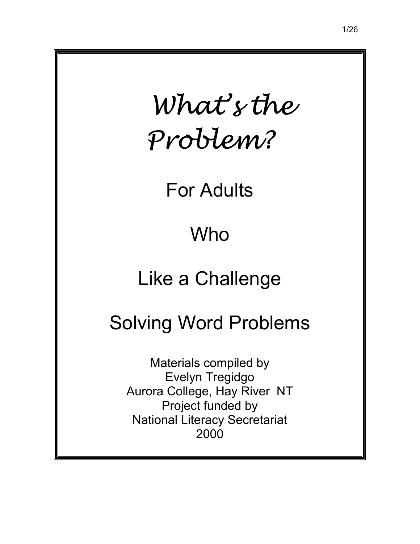<span id="page-0-0"></span>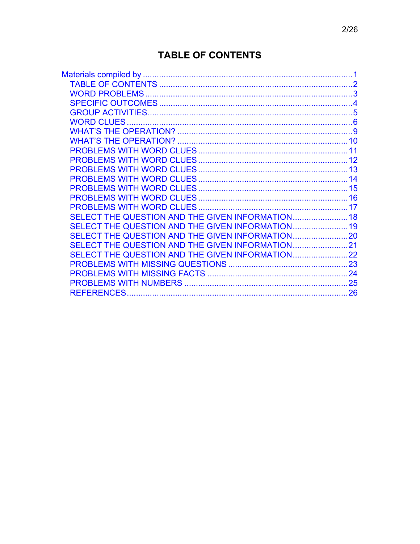# **TABLE OF CONTENTS**

|                                                  | 10 |
|--------------------------------------------------|----|
|                                                  | 11 |
|                                                  |    |
|                                                  |    |
|                                                  | 14 |
|                                                  |    |
|                                                  |    |
|                                                  |    |
| SELECT THE QUESTION AND THE GIVEN INFORMATION 18 |    |
| SELECT THE QUESTION AND THE GIVEN INFORMATION 19 |    |
|                                                  |    |
|                                                  |    |
| SELECT THE QUESTION AND THE GIVEN INFORMATION22  |    |
|                                                  |    |
|                                                  |    |
|                                                  |    |
|                                                  | 26 |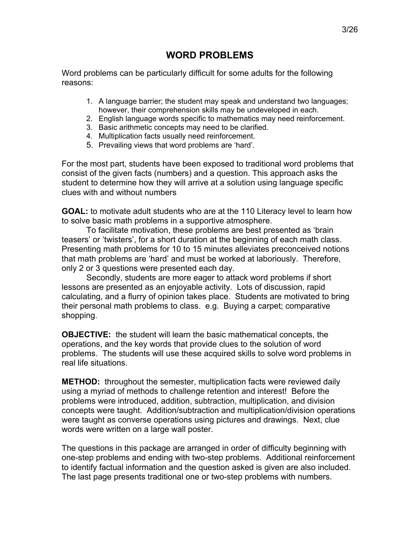#### **WORD PROBLEMS**

<span id="page-2-0"></span>Word problems can be particularly difficult for some adults for the following reasons:

- 1. A language barrier; the student may speak and understand two languages; however, their comprehension skills may be undeveloped in each.
- 2. English language words specific to mathematics may need reinforcement.
- 3. Basic arithmetic concepts may need to be clarified.
- 4. Multiplication facts usually need reinforcement.
- 5. Prevailing views that word problems are 'hard'.

For the most part, students have been exposed to traditional word problems that consist of the given facts (numbers) and a question. This approach asks the student to determine how they will arrive at a solution using language specific clues with and without numbers

**GOAL:** to motivate adult students who are at the 110 Literacy level to learn how to solve basic math problems in a supportive atmosphere.

 To facilitate motivation, these problems are best presented as ëbrain teasers' or 'twisters', for a short duration at the beginning of each math class. Presenting math problems for 10 to 15 minutes alleviates preconceived notions that math problems are 'hard' and must be worked at laboriously. Therefore, only 2 or 3 questions were presented each day.

Secondly, students are more eager to attack word problems if short lessons are presented as an enjoyable activity. Lots of discussion, rapid calculating, and a flurry of opinion takes place. Students are motivated to bring their personal math problems to class. e.g. Buying a carpet; comparative shopping.

**OBJECTIVE:** the student will learn the basic mathematical concepts, the operations, and the key words that provide clues to the solution of word problems. The students will use these acquired skills to solve word problems in real life situations.

**METHOD:** throughout the semester, multiplication facts were reviewed daily using a myriad of methods to challenge retention and interest! Before the problems were introduced, addition, subtraction, multiplication, and division concepts were taught. Addition/subtraction and multiplication/division operations were taught as converse operations using pictures and drawings. Next, clue words were written on a large wall poster.

The questions in this package are arranged in order of difficulty beginning with one-step problems and ending with two-step problems. Additional reinforcement to identify factual information and the question asked is given are also included. The last page presents traditional one or two-step problems with numbers.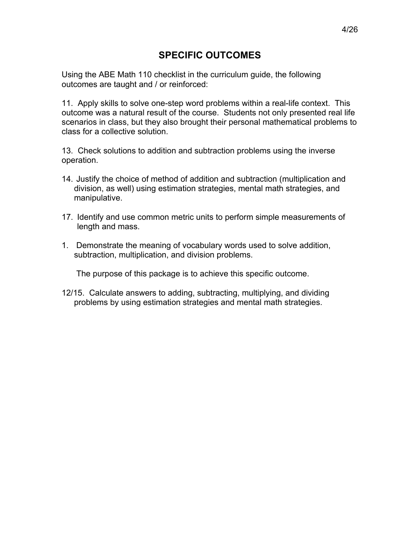#### **SPECIFIC OUTCOMES**

<span id="page-3-0"></span>Using the ABE Math 110 checklist in the curriculum guide, the following outcomes are taught and / or reinforced:

11. Apply skills to solve one-step word problems within a real-life context. This outcome was a natural result of the course. Students not only presented real life scenarios in class, but they also brought their personal mathematical problems to class for a collective solution.

13. Check solutions to addition and subtraction problems using the inverse operation.

- 14. Justify the choice of method of addition and subtraction (multiplication and division, as well) using estimation strategies, mental math strategies, and manipulative.
- 17. Identify and use common metric units to perform simple measurements of length and mass.
- 1. Demonstrate the meaning of vocabulary words used to solve addition, subtraction, multiplication, and division problems.

The purpose of this package is to achieve this specific outcome.

12/15. Calculate answers to adding, subtracting, multiplying, and dividing problems by using estimation strategies and mental math strategies.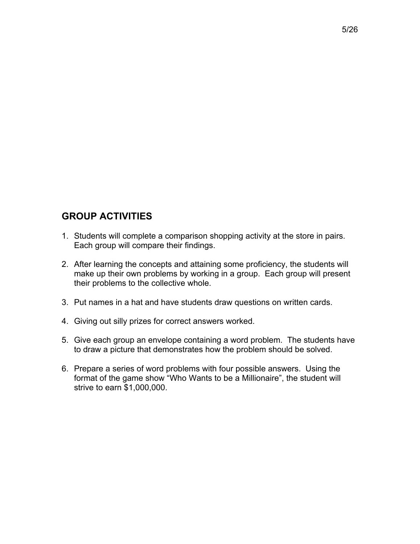## <span id="page-4-0"></span>**GROUP ACTIVITIES**

- 1. Students will complete a comparison shopping activity at the store in pairs. Each group will compare their findings.
- 2. After learning the concepts and attaining some proficiency, the students will make up their own problems by working in a group. Each group will present their problems to the collective whole.
- 3. Put names in a hat and have students draw questions on written cards.
- 4. Giving out silly prizes for correct answers worked.
- 5. Give each group an envelope containing a word problem. The students have to draw a picture that demonstrates how the problem should be solved.
- 6. Prepare a series of word problems with four possible answers. Using the format of the game show "Who Wants to be a Millionaire", the student will strive to earn \$1,000,000.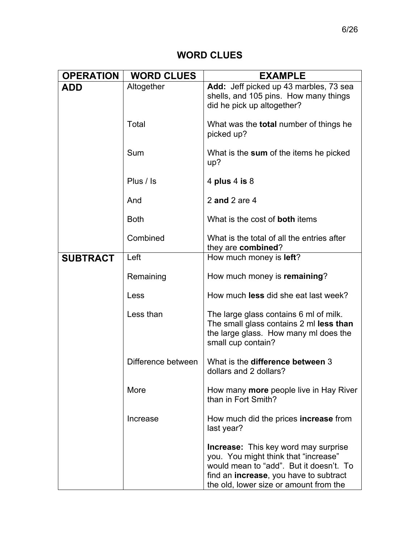## **WORD CLUES**

<span id="page-5-0"></span>

| <b>OPERATION</b> | <b>WORD CLUES</b>  | <b>EXAMPLE</b>                                                                                                                                                                                                             |
|------------------|--------------------|----------------------------------------------------------------------------------------------------------------------------------------------------------------------------------------------------------------------------|
| <b>ADD</b>       | Altogether         | Add: Jeff picked up 43 marbles, 73 sea<br>shells, and 105 pins. How many things<br>did he pick up altogether?                                                                                                              |
|                  | Total              | What was the <b>total</b> number of things he<br>picked up?                                                                                                                                                                |
|                  | Sum                | What is the sum of the items he picked<br>up?                                                                                                                                                                              |
|                  | Plus / Is          | 4 plus 4 is $8$                                                                                                                                                                                                            |
|                  | And                | 2 and 2 are $4$                                                                                                                                                                                                            |
|                  | <b>Both</b>        | What is the cost of <b>both</b> items                                                                                                                                                                                      |
|                  | Combined           | What is the total of all the entries after<br>they are combined?                                                                                                                                                           |
| <b>SUBTRACT</b>  | Left               | How much money is <b>left</b> ?                                                                                                                                                                                            |
|                  | Remaining          | How much money is remaining?                                                                                                                                                                                               |
|                  | Less               | How much <b>less</b> did she eat last week?                                                                                                                                                                                |
|                  | Less than          | The large glass contains 6 ml of milk.<br>The small glass contains 2 ml less than<br>the large glass. How many mi does the<br>small cup contain?                                                                           |
|                  | Difference between | What is the difference between 3<br>dollars and 2 dollars?                                                                                                                                                                 |
|                  | More               | How many more people live in Hay River<br>than in Fort Smith?                                                                                                                                                              |
|                  | Increase           | How much did the prices increase from<br>last year?                                                                                                                                                                        |
|                  |                    | <b>Increase:</b> This key word may surprise<br>you. You might think that "increase"<br>would mean to "add". But it doesn't. To<br>find an <b>increase</b> , you have to subtract<br>the old, lower size or amount from the |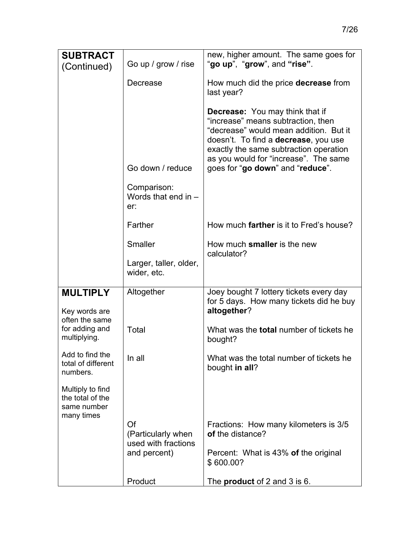| <b>SUBTRACT</b>                                     |                                                 | new, higher amount. The same goes for                                                                                                                                                                                                                                                         |
|-----------------------------------------------------|-------------------------------------------------|-----------------------------------------------------------------------------------------------------------------------------------------------------------------------------------------------------------------------------------------------------------------------------------------------|
| (Continued)                                         | Go up / grow / rise                             | "go up", "grow", and "rise".                                                                                                                                                                                                                                                                  |
|                                                     | Decrease                                        | How much did the price decrease from<br>last year?                                                                                                                                                                                                                                            |
|                                                     | Go down / reduce                                | <b>Decrease:</b> You may think that if<br>"increase" means subtraction, then<br>"decrease" would mean addition. But it<br>doesn't. To find a <b>decrease</b> , you use<br>exactly the same subtraction operation<br>as you would for "increase". The same<br>goes for "go down" and "reduce". |
|                                                     | Comparison:<br>Words that end in $-$<br>er:     |                                                                                                                                                                                                                                                                                               |
|                                                     | Farther                                         | How much <b>farther</b> is it to Fred's house?                                                                                                                                                                                                                                                |
|                                                     | Smaller                                         | How much smaller is the new<br>calculator?                                                                                                                                                                                                                                                    |
|                                                     | Larger, taller, older,<br>wider, etc.           |                                                                                                                                                                                                                                                                                               |
| <b>MULTIPLY</b><br>Key words are                    | Altogether                                      | Joey bought 7 lottery tickets every day<br>for 5 days. How many tickets did he buy<br>altogether?                                                                                                                                                                                             |
| often the same<br>for adding and<br>multiplying.    | Total                                           | What was the <b>total</b> number of tickets he<br>bought?                                                                                                                                                                                                                                     |
| Add to find the<br>total of different<br>numbers.   | In all                                          | What was the total number of tickets he<br>bought in all?                                                                                                                                                                                                                                     |
| Multiply to find<br>the total of the<br>same number |                                                 |                                                                                                                                                                                                                                                                                               |
| many times                                          | Of<br>(Particularly when<br>used with fractions | Fractions: How many kilometers is 3/5<br>of the distance?                                                                                                                                                                                                                                     |
|                                                     | and percent)                                    | Percent: What is 43% of the original<br>\$600.00?                                                                                                                                                                                                                                             |
|                                                     | Product                                         | The <b>product</b> of 2 and 3 is 6.                                                                                                                                                                                                                                                           |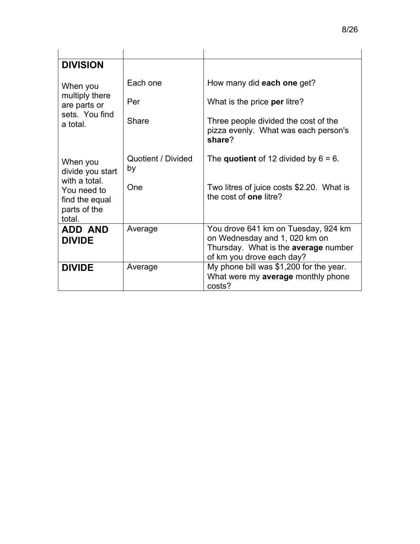| <b>DIVISION</b>                                                          |                          |                                                                                                                                           |
|--------------------------------------------------------------------------|--------------------------|-------------------------------------------------------------------------------------------------------------------------------------------|
| When you<br>multiply there                                               | Each one                 | How many did each one get?                                                                                                                |
| are parts or                                                             | Per                      | What is the price per litre?                                                                                                              |
| sets. You find<br>a total.                                               | Share                    | Three people divided the cost of the<br>pizza evenly. What was each person's<br>share?                                                    |
| When you<br>divide you start                                             | Quotient / Divided<br>by | The quotient of 12 divided by $6 = 6$ .                                                                                                   |
| with a total.<br>You need to<br>find the equal<br>parts of the<br>total. | One                      | Two litres of juice costs \$2.20. What is<br>the cost of <b>one</b> litre?                                                                |
| <b>ADD AND</b><br><b>DIVIDE</b>                                          | Average                  | You drove 641 km on Tuesday, 924 km<br>on Wednesday and 1, 020 km on<br>Thursday. What is the average number<br>of km you drove each day? |
| <b>DIVIDE</b>                                                            | Average                  | My phone bill was \$1,200 for the year.<br>What were my average monthly phone<br>costs?                                                   |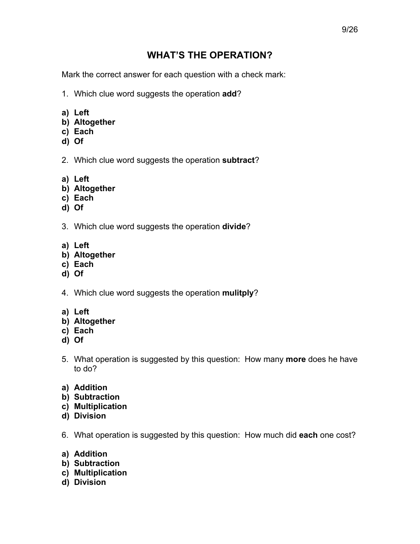## **WHAT'S THE OPERATION?**

<span id="page-8-0"></span>Mark the correct answer for each question with a check mark:

- 1. Which clue word suggests the operation **add**?
- **a) Left**
- **b) Altogether**
- **c) Each**
- **d) Of**
- 2. Which clue word suggests the operation **subtract**?
- **a) Left**
- **b) Altogether**
- **c) Each**
- **d) Of**
- 3. Which clue word suggests the operation **divide**?
- **a) Left**
- **b) Altogether**
- **c) Each**
- **d) Of**
- 4. Which clue word suggests the operation **mulitply**?
- **a) Left**
- **b) Altogether**
- **c) Each**
- **d) Of**
- 5. What operation is suggested by this question: How many **more** does he have to do?
- **a) Addition**
- **b) Subtraction**
- **c) Multiplication**
- **d) Division**
- 6. What operation is suggested by this question: How much did **each** one cost?
- **a) Addition**
- **b) Subtraction**
- **c) Multiplication**
- **d) Division**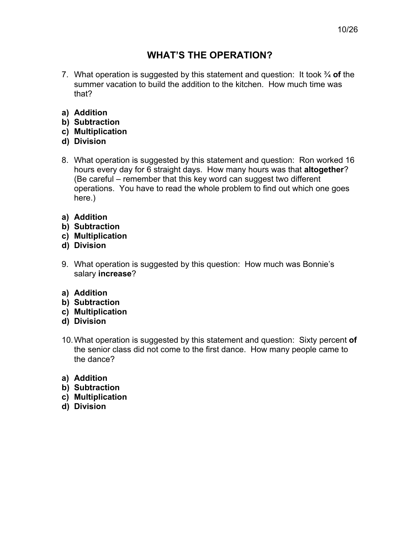## **WHATíS THE OPERATION?**

- <span id="page-9-0"></span>7. What operation is suggested by this statement and question: It took  $\frac{3}{4}$  of the summer vacation to build the addition to the kitchen. How much time was that?
- **a) Addition**
- **b) Subtraction**
- **c) Multiplication**
- **d) Division**
- 8. What operation is suggested by this statement and question: Ron worked 16 hours every day for 6 straight days. How many hours was that **altogether**? (Be careful  $-$  remember that this key word can suggest two different operations. You have to read the whole problem to find out which one goes here.)
- **a) Addition**
- **b) Subtraction**
- **c) Multiplication**
- **d) Division**
- 9. What operation is suggested by this question: How much was Bonnie's salary **increase**?
- **a) Addition**
- **b) Subtraction**
- **c) Multiplication**
- **d) Division**
- 10. What operation is suggested by this statement and question: Sixty percent **of** the senior class did not come to the first dance. How many people came to the dance?
- **a) Addition**
- **b) Subtraction**
- **c) Multiplication**
- **d) Division**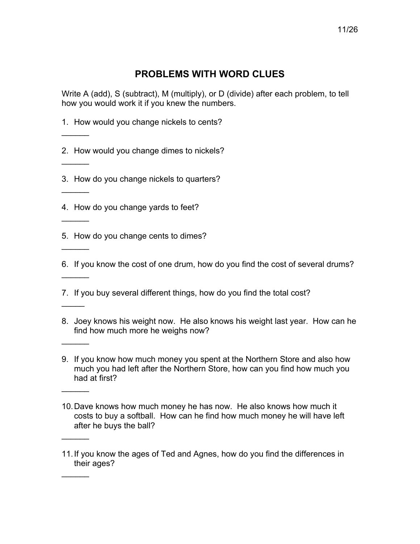<span id="page-10-0"></span>Write A (add), S (subtract), M (multiply), or D (divide) after each problem, to tell how you would work it if you knew the numbers.

1. How would you change nickels to cents?

 $\overline{\phantom{a}}$ 

 $\overline{\phantom{a}}$ 

 $\frac{1}{2}$ 

 $\overline{\phantom{a}}$ 

 $\frac{1}{2}$ 

 $\overline{\phantom{a}}$ 

 $\overline{\phantom{a}}$ 

 $\frac{1}{2}$ 

 $\frac{1}{2}$ 

 $\frac{1}{2}$ 

 $\frac{1}{2}$ 

2. How would you change dimes to nickels?

3. How do you change nickels to quarters?

4. How do you change yards to feet?

5. How do you change cents to dimes?

6. If you know the cost of one drum, how do you find the cost of several drums?

7. If you buy several different things, how do you find the total cost?

- 8. Joey knows his weight now. He also knows his weight last year. How can he find how much more he weighs now?
- 9. If you know how much money you spent at the Northern Store and also how much you had left after the Northern Store, how can you find how much you had at first?
- 10. Dave knows how much money he has now. He also knows how much it costs to buy a softball. How can he find how much money he will have left after he buys the ball?

<sup>11.</sup> If you know the ages of Ted and Agnes, how do you find the differences in their ages?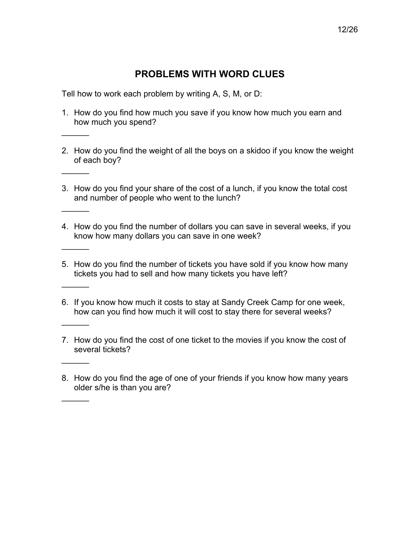<span id="page-11-0"></span>Tell how to work each problem by writing A, S, M, or D:

 $\overline{\phantom{a}}$ 

 $\overline{\phantom{a}}$ 

 $\overline{\phantom{a}}$ 

 $\frac{1}{2}$ 

 $\frac{1}{2}$ 

 $\overline{\phantom{a}}$ 

 $\overline{\phantom{a}}$ 

 $\overline{\phantom{a}}$ 

- 1. How do you find how much you save if you know how much you earn and how much you spend?
- 2. How do you find the weight of all the boys on a skidoo if you know the weight of each boy?
- 3. How do you find your share of the cost of a lunch, if you know the total cost and number of people who went to the lunch?
- 4. How do you find the number of dollars you can save in several weeks, if you know how many dollars you can save in one week?
- 5. How do you find the number of tickets you have sold if you know how many tickets you had to sell and how many tickets you have left?
- 6. If you know how much it costs to stay at Sandy Creek Camp for one week, how can you find how much it will cost to stay there for several weeks?
- 7. How do you find the cost of one ticket to the movies if you know the cost of several tickets?
- 8. How do you find the age of one of your friends if you know how many years older s/he is than you are?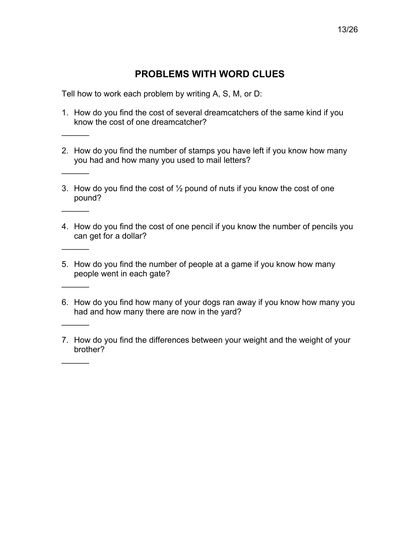<span id="page-12-0"></span>Tell how to work each problem by writing A, S, M, or D:

 $\overline{\phantom{a}}$ 

 $\overline{\phantom{a}}$ 

 $\overline{\phantom{a}}$ 

 $\frac{1}{2}$ 

 $\frac{1}{2}$ 

 $\overline{\phantom{a}}$ 

 $\overline{\phantom{a}}$ 

- 1. How do you find the cost of several dreamcatchers of the same kind if you know the cost of one dreamcatcher?
- 2. How do you find the number of stamps you have left if you know how many you had and how many you used to mail letters?
- 3. How do you find the cost of  $\frac{1}{2}$  pound of nuts if you know the cost of one pound?
- 4. How do you find the cost of one pencil if you know the number of pencils you can get for a dollar?
- 5. How do you find the number of people at a game if you know how many people went in each gate?
- 6. How do you find how many of your dogs ran away if you know how many you had and how many there are now in the yard?
- 7. How do you find the differences between your weight and the weight of your brother?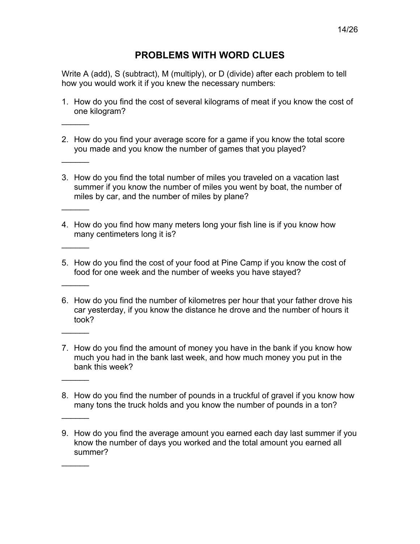<span id="page-13-0"></span>Write A (add), S (subtract), M (multiply), or D (divide) after each problem to tell how you would work it if you knew the necessary numbers:

- 1. How do you find the cost of several kilograms of meat if you know the cost of one kilogram?
- 2. How do you find your average score for a game if you know the total score you made and you know the number of games that you played?

 $\overline{\phantom{a}}$ 

 $\overline{\phantom{a}}$ 

 $\overline{\phantom{a}}$ 

 $\frac{1}{2}$ 

 $\frac{1}{2}$ 

 $\frac{1}{2}$ 

 $\frac{1}{2}$ 

 $\frac{1}{2}$ 

- 3. How do you find the total number of miles you traveled on a vacation last summer if you know the number of miles you went by boat, the number of miles by car, and the number of miles by plane?
- 4. How do you find how many meters long your fish line is if you know how many centimeters long it is?
- 5. How do you find the cost of your food at Pine Camp if you know the cost of food for one week and the number of weeks you have stayed?
- 6. How do you find the number of kilometres per hour that your father drove his car yesterday, if you know the distance he drove and the number of hours it took?
- 7. How do you find the amount of money you have in the bank if you know how much you had in the bank last week, and how much money you put in the bank this week?
- 8. How do you find the number of pounds in a truckful of gravel if you know how many tons the truck holds and you know the number of pounds in a ton?
- 9. How do you find the average amount you earned each day last summer if you know the number of days you worked and the total amount you earned all summer?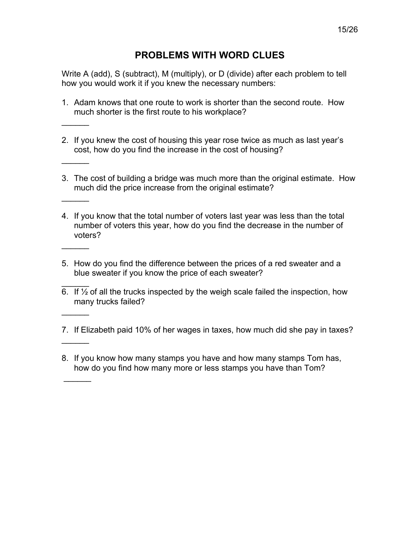<span id="page-14-0"></span>Write A (add), S (subtract), M (multiply), or D (divide) after each problem to tell how you would work it if you knew the necessary numbers:

1. Adam knows that one route to work is shorter than the second route. How much shorter is the first route to his workplace?

 $\overline{\phantom{a}}$ 

 $\overline{\phantom{a}}$ 

 $\frac{1}{2}$ 

 $\frac{1}{2}$ 

 $\overline{\phantom{a}}$ 

 $\frac{1}{2}$ 

- 2. If you knew the cost of housing this year rose twice as much as last yearís cost, how do you find the increase in the cost of housing?
- 3. The cost of building a bridge was much more than the original estimate. How much did the price increase from the original estimate?
- 4. If you know that the total number of voters last year was less than the total number of voters this year, how do you find the decrease in the number of voters?
- 5. How do you find the difference between the prices of a red sweater and a blue sweater if you know the price of each sweater?
- $\frac{1}{2}$ 6. If  $\frac{1}{2}$  of all the trucks inspected by the weigh scale failed the inspection, how many trucks failed?
- 7. If Elizabeth paid 10% of her wages in taxes, how much did she pay in taxes?
- 8. If you know how many stamps you have and how many stamps Tom has, how do you find how many more or less stamps you have than Tom?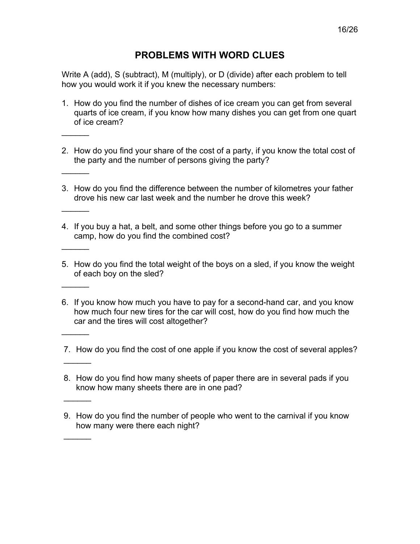<span id="page-15-0"></span>Write A (add), S (subtract), M (multiply), or D (divide) after each problem to tell how you would work it if you knew the necessary numbers:

1. How do you find the number of dishes of ice cream you can get from several quarts of ice cream, if you know how many dishes you can get from one quart of ice cream?

 $\overline{\phantom{a}}$ 

 $\overline{\phantom{a}}$ 

 $\overline{\phantom{a}}$ 

 $\frac{1}{2}$ 

 $\frac{1}{2}$ 

 $\frac{1}{2}$ 

 $\overline{\phantom{a}}$ 

 $\overline{\phantom{a}}$ 

- 2. How do you find your share of the cost of a party, if you know the total cost of the party and the number of persons giving the party?
- 3. How do you find the difference between the number of kilometres your father drove his new car last week and the number he drove this week?
- 4. If you buy a hat, a belt, and some other things before you go to a summer camp, how do you find the combined cost?
- 5. How do you find the total weight of the boys on a sled, if you know the weight of each boy on the sled?
- 6. If you know how much you have to pay for a second-hand car, and you know how much four new tires for the car will cost, how do you find how much the car and the tires will cost altogether?
- 7. How do you find the cost of one apple if you know the cost of several apples?
- 8. How do you find how many sheets of paper there are in several pads if you know how many sheets there are in one pad?
- 9. How do you find the number of people who went to the carnival if you know how many were there each night?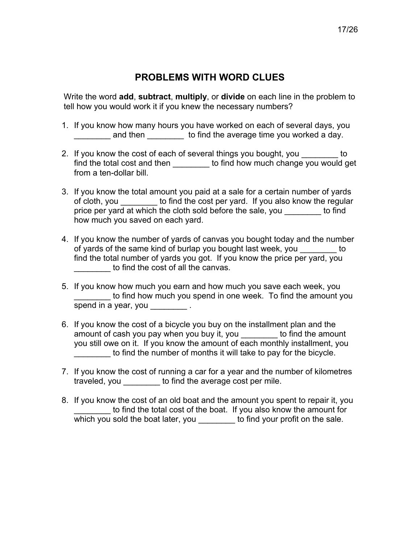<span id="page-16-0"></span>Write the word **add**, **subtract**, **multiply**, or **divide** on each line in the problem to tell how you would work it if you knew the necessary numbers?

- 1. If you know how many hours you have worked on each of several days, you and then electron to find the average time you worked a day.
- 2. If you know the cost of each of several things you bought, you example to find the total cost and then \_\_\_\_\_\_\_\_\_ to find how much change you would get from a ten-dollar bill.
- 3. If you know the total amount you paid at a sale for a certain number of yards of cloth, you \_\_\_\_\_\_\_\_ to find the cost per yard. If you also know the regular price per yard at which the cloth sold before the sale, you be find how much you saved on each yard.
- 4. If you know the number of yards of canvas you bought today and the number of yards of the same kind of burlap you bought last week, you busing to find the total number of yards you got. If you know the price per yard, you to find the cost of all the canvas.
- 5. If you know how much you earn and how much you save each week, you to find how much you spend in one week. To find the amount you spend in a year, you spend in a year, you
- 6. If you know the cost of a bicycle you buy on the installment plan and the amount of cash you pay when you buy it, you bused to find the amount you still owe on it. If you know the amount of each monthly installment, you to find the number of months it will take to pay for the bicycle.
- 7. If you know the cost of running a car for a year and the number of kilometres traveled, you \_\_\_\_\_\_\_\_ to find the average cost per mile.
- 8. If you know the cost of an old boat and the amount you spent to repair it, you to find the total cost of the boat. If you also know the amount for which you sold the boat later, you but find your profit on the sale.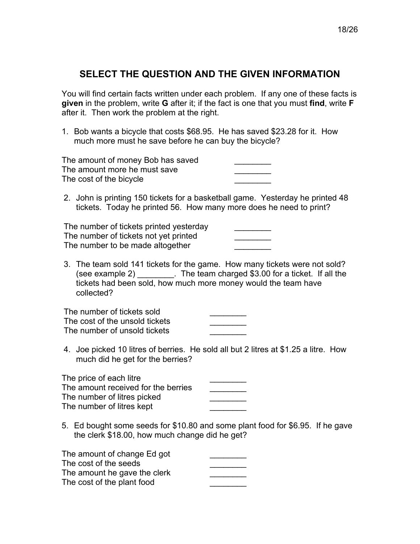<span id="page-17-0"></span>You will find certain facts written under each problem. If any one of these facts is **given** in the problem, write **G** after it; if the fact is one that you must **find**, write **F** after it. Then work the problem at the right.

1. Bob wants a bicycle that costs \$68.95. He has saved \$23.28 for it. How much more must he save before he can buy the bicycle?

| The amount of money Bob has saved |  |
|-----------------------------------|--|
| The amount more he must save      |  |
| The cost of the bicycle           |  |

2. John is printing 150 tickets for a basketball game. Yesterday he printed 48 tickets. Today he printed 56. How many more does he need to print?

The number of tickets printed yesterday The number of tickets not yet printed The number to be made altogether

3. The team sold 141 tickets for the game. How many tickets were not sold? (see example 2) \_\_\_\_\_\_\_\_. The team charged \$3.00 for a ticket. If all the tickets had been sold, how much more money would the team have collected?

| The number of tickets sold     |  |
|--------------------------------|--|
| The cost of the unsold tickets |  |
| The number of unsold tickets   |  |

4. Joe picked 10 litres of berries. He sold all but 2 litres at \$1.25 a litre. How much did he get for the berries?

| The price of each litre             |  |
|-------------------------------------|--|
| The amount received for the berries |  |
| The number of litres picked         |  |
| The number of litres kept           |  |
|                                     |  |

5. Ed bought some seeds for \$10.80 and some plant food for \$6.95. If he gave the clerk \$18.00, how much change did he get?

| The amount of change Ed got  |  |
|------------------------------|--|
| The cost of the seeds        |  |
| The amount he gave the clerk |  |
| The cost of the plant food   |  |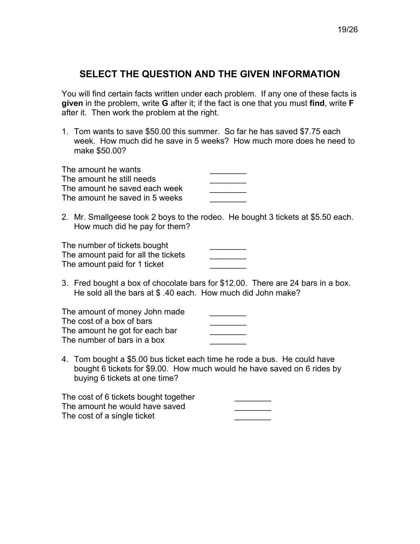<span id="page-18-0"></span>You will find certain facts written under each problem. If any one of these facts is **given** in the problem, write **G** after it; if the fact is one that you must **find**, write **F**  after it. Then work the problem at the right.

1. Tom wants to save \$50.00 this summer. So far he has saved \$7.75 each week. How much did he save in 5 weeks? How much more does he need to make \$50.00?

| The amount he wants            |  |
|--------------------------------|--|
| The amount he still needs      |  |
| The amount he saved each week  |  |
| The amount he saved in 5 weeks |  |

2. Mr. Smallgeese took 2 boys to the rodeo. He bought 3 tickets at \$5.50 each. How much did he pay for them?

| The number of tickets bought        |  |
|-------------------------------------|--|
| The amount paid for all the tickets |  |
| The amount paid for 1 ticket        |  |

3. Fred bought a box of chocolate bars for \$12.00. There are 24 bars in a box. He sold all the bars at \$ .40 each. How much did John make?

| The amount of money John made  |  |
|--------------------------------|--|
| The cost of a box of bars      |  |
| The amount he got for each bar |  |
| The number of bars in a box    |  |

4. Tom bought a \$5.00 bus ticket each time he rode a bus. He could have bought 6 tickets for \$9.00. How much would he have saved on 6 rides by buying 6 tickets at one time?

| The cost of 6 tickets bought together |  |
|---------------------------------------|--|
| The amount he would have saved        |  |
| The cost of a single ticket           |  |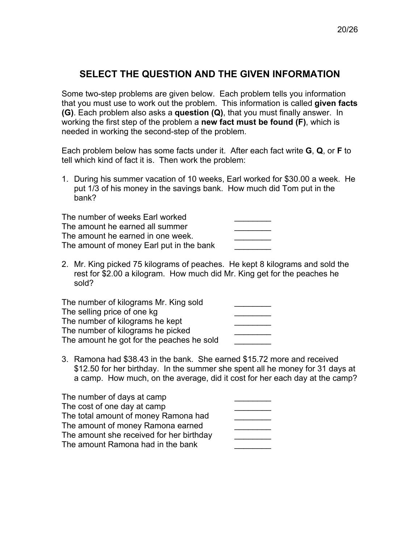<span id="page-19-0"></span>Some two-step problems are given below. Each problem tells you information that you must use to work out the problem. This information is called **given facts (G)**. Each problem also asks a **question (Q)**, that you must finally answer. In working the first step of the problem a **new fact must be found (F)**, which is needed in working the second-step of the problem.

Each problem below has some facts under it. After each fact write **G**, **Q**, or **F** to tell which kind of fact it is. Then work the problem:

1. During his summer vacation of 10 weeks, Earl worked for \$30.00 a week. He put 1/3 of his money in the savings bank. How much did Tom put in the bank?

The number of weeks Earl worked The amount he earned all summer The amount he earned in one week The amount of money Earl put in the bank

2. Mr. King picked 75 kilograms of peaches. He kept 8 kilograms and sold the rest for \$2.00 a kilogram. How much did Mr. King get for the peaches he sold?

The number of kilograms Mr. King sold The selling price of one kg The number of kilograms he kept The number of kilograms he picked The amount he got for the peaches he sold

3. Ramona had \$38.43 in the bank. She earned \$15.72 more and received \$12.50 for her birthday. In the summer she spent all he money for 31 days at a camp. How much, on the average, did it cost for her each day at the camp?

| The number of days at camp               |  |
|------------------------------------------|--|
| The cost of one day at camp              |  |
| The total amount of money Ramona had     |  |
| The amount of money Ramona earned        |  |
| The amount she received for her birthday |  |
| The amount Ramona had in the bank        |  |
|                                          |  |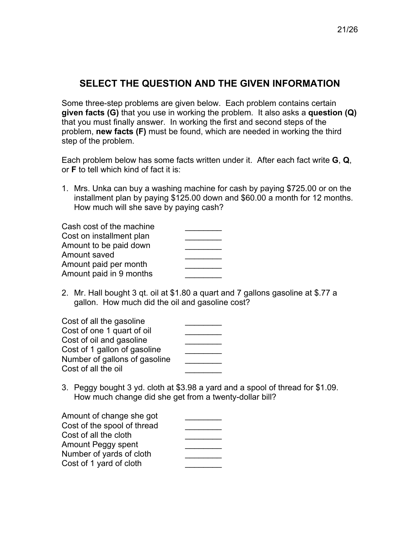<span id="page-20-0"></span>Some three-step problems are given below. Each problem contains certain **given facts (G)** that you use in working the problem. It also asks a **question (Q)** that you must finally answer. In working the first and second steps of the problem, **new facts (F)** must be found, which are needed in working the third step of the problem.

Each problem below has some facts written under it. After each fact write **G**, **Q**, or **F** to tell which kind of fact it is:

1. Mrs. Unka can buy a washing machine for cash by paying \$725.00 or on the installment plan by paying \$125.00 down and \$60.00 a month for 12 months. How much will she save by paying cash?

| Cash cost of the machine |  |
|--------------------------|--|
| Cost on installment plan |  |
| Amount to be paid down   |  |
| Amount saved             |  |
| Amount paid per month    |  |
| Amount paid in 9 months  |  |

2. Mr. Hall bought 3 qt. oil at \$1.80 a quart and 7 gallons gasoline at \$.77 a gallon. How much did the oil and gasoline cost?

| Cost of all the gasoline      |  |
|-------------------------------|--|
| Cost of one 1 quart of oil    |  |
| Cost of oil and gasoline      |  |
| Cost of 1 gallon of gasoline  |  |
| Number of gallons of gasoline |  |
| Cost of all the oil           |  |

3. Peggy bought 3 yd. cloth at \$3.98 a yard and a spool of thread for \$1.09. How much change did she get from a twenty-dollar bill?

| Amount of change she got    |  |
|-----------------------------|--|
| Cost of the spool of thread |  |
| Cost of all the cloth       |  |
| Amount Peggy spent          |  |
| Number of yards of cloth    |  |
| Cost of 1 yard of cloth     |  |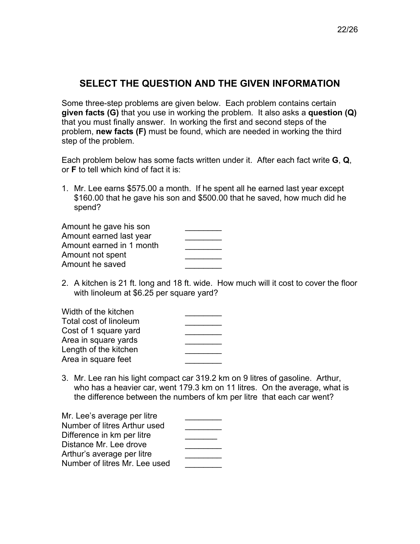<span id="page-21-0"></span>Some three-step problems are given below. Each problem contains certain **given facts (G)** that you use in working the problem. It also asks a **question (Q)** that you must finally answer. In working the first and second steps of the problem, **new facts (F)** must be found, which are needed in working the third step of the problem.

Each problem below has some facts written under it. After each fact write **G**, **Q**, or **F** to tell which kind of fact it is:

1. Mr. Lee earns \$575.00 a month. If he spent all he earned last year except \$160.00 that he gave his son and \$500.00 that he saved, how much did he spend?

| Amount he gave his son   |  |
|--------------------------|--|
| Amount earned last year  |  |
| Amount earned in 1 month |  |
| Amount not spent         |  |
| Amount he saved          |  |

2. A kitchen is 21 ft. long and 18 ft. wide. How much will it cost to cover the floor with linoleum at \$6.25 per square yard?

| Width of the kitchen   |  |
|------------------------|--|
| Total cost of linoleum |  |
| Cost of 1 square yard  |  |
| Area in square yards   |  |
| Length of the kitchen  |  |
| Area in square feet    |  |

3. Mr. Lee ran his light compact car 319.2 km on 9 litres of gasoline. Arthur, who has a heavier car, went 179.3 km on 11 litres. On the average, what is the difference between the numbers of km per litre that each car went?

| Mr. Lee's average per litre   |  |
|-------------------------------|--|
| Number of litres Arthur used  |  |
| Difference in km per litre    |  |
| Distance Mr. Lee drove        |  |
| Arthur's average per litre    |  |
| Number of litres Mr. Lee used |  |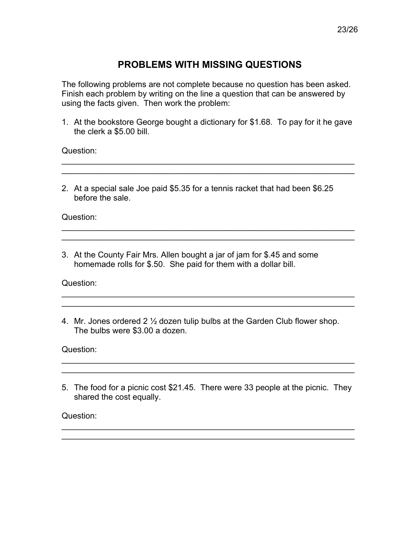## **PROBLEMS WITH MISSING QUESTIONS**

<span id="page-22-0"></span>The following problems are not complete because no question has been asked. Finish each problem by writing on the line a question that can be answered by using the facts given. Then work the problem:

1. At the bookstore George bought a dictionary for \$1.68. To pay for it he gave the clerk a \$5.00 bill.

 $\mathcal{L}_\text{max}$  , and the contract of the contract of the contract of the contract of the contract of the contract of \_\_\_\_\_\_\_\_\_\_\_\_\_\_\_\_\_\_\_\_\_\_\_\_\_\_\_\_\_\_\_\_\_\_\_\_\_\_\_\_\_\_\_\_\_\_\_\_\_\_\_\_\_\_\_\_\_\_\_\_\_\_\_\_

 $\mathcal{L}_\text{max}$  and  $\mathcal{L}_\text{max}$  and  $\mathcal{L}_\text{max}$  and  $\mathcal{L}_\text{max}$  and  $\mathcal{L}_\text{max}$  and  $\mathcal{L}_\text{max}$  $\mathcal{L}_\text{max}$  and  $\mathcal{L}_\text{max}$  and  $\mathcal{L}_\text{max}$  and  $\mathcal{L}_\text{max}$  and  $\mathcal{L}_\text{max}$  and  $\mathcal{L}_\text{max}$ 

 $\mathcal{L}_\text{max} = \mathcal{L}_\text{max} = \mathcal{L}_\text{max} = \mathcal{L}_\text{max} = \mathcal{L}_\text{max} = \mathcal{L}_\text{max} = \mathcal{L}_\text{max} = \mathcal{L}_\text{max} = \mathcal{L}_\text{max} = \mathcal{L}_\text{max} = \mathcal{L}_\text{max} = \mathcal{L}_\text{max} = \mathcal{L}_\text{max} = \mathcal{L}_\text{max} = \mathcal{L}_\text{max} = \mathcal{L}_\text{max} = \mathcal{L}_\text{max} = \mathcal{L}_\text{max} = \mathcal{$ \_\_\_\_\_\_\_\_\_\_\_\_\_\_\_\_\_\_\_\_\_\_\_\_\_\_\_\_\_\_\_\_\_\_\_\_\_\_\_\_\_\_\_\_\_\_\_\_\_\_\_\_\_\_\_\_\_\_\_\_\_\_\_\_

Question:

2. At a special sale Joe paid \$5.35 for a tennis racket that had been \$6.25 before the sale.

Question:

3. At the County Fair Mrs. Allen bought a jar of jam for \$.45 and some homemade rolls for \$.50. She paid for them with a dollar bill.

Question:

4. Mr. Jones ordered 2 ½ dozen tulip bulbs at the Garden Club flower shop. The bulbs were \$3.00 a dozen.

Question:

5. The food for a picnic cost \$21.45. There were 33 people at the picnic. They shared the cost equally.

 $\mathcal{L}_\text{max} = \mathcal{L}_\text{max} = \mathcal{L}_\text{max} = \mathcal{L}_\text{max} = \mathcal{L}_\text{max} = \mathcal{L}_\text{max} = \mathcal{L}_\text{max} = \mathcal{L}_\text{max} = \mathcal{L}_\text{max} = \mathcal{L}_\text{max} = \mathcal{L}_\text{max} = \mathcal{L}_\text{max} = \mathcal{L}_\text{max} = \mathcal{L}_\text{max} = \mathcal{L}_\text{max} = \mathcal{L}_\text{max} = \mathcal{L}_\text{max} = \mathcal{L}_\text{max} = \mathcal{$  $\mathcal{L}_\text{max}$  and  $\mathcal{L}_\text{max}$  and  $\mathcal{L}_\text{max}$  and  $\mathcal{L}_\text{max}$  and  $\mathcal{L}_\text{max}$  and  $\mathcal{L}_\text{max}$ 

 $\mathcal{L}_\text{max}$  and  $\mathcal{L}_\text{max}$  and  $\mathcal{L}_\text{max}$  and  $\mathcal{L}_\text{max}$  and  $\mathcal{L}_\text{max}$  and  $\mathcal{L}_\text{max}$ 

Question: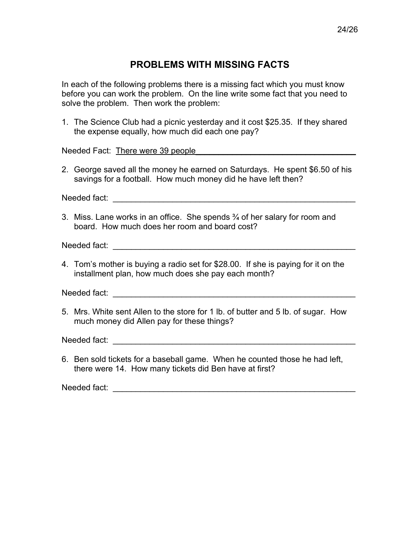#### **PROBLEMS WITH MISSING FACTS**

<span id="page-23-0"></span>In each of the following problems there is a missing fact which you must know before you can work the problem. On the line write some fact that you need to solve the problem. Then work the problem:

1. The Science Club had a picnic yesterday and it cost \$25.35. If they shared the expense equally, how much did each one pay?

Needed Fact: There were 39 people

2. George saved all the money he earned on Saturdays. He spent \$6.50 of his savings for a football. How much money did he have left then?

Needed fact: **with a set of the set of the set of the set of the set of the set of the set of the set of the set of the set of the set of the set of the set of the set of the set of the set of the set of the set of the set** 

3. Miss. Lane works in an office. She spends  $\frac{3}{4}$  of her salary for room and board. How much does her room and board cost?

Needed fact: \_\_\_\_\_\_\_\_\_\_\_\_\_\_\_\_\_\_\_\_\_\_\_\_\_\_\_\_\_\_\_\_\_\_\_\_\_\_\_\_\_\_\_\_\_\_\_\_\_\_\_\_\_

4. Tomís mother is buying a radio set for \$28.00. If she is paying for it on the installment plan, how much does she pay each month?

Needed fact:  $\blacksquare$ 

5. Mrs. White sent Allen to the store for 1 lb. of butter and 5 lb. of sugar. How much money did Allen pay for these things?

Needed fact: \_\_\_\_\_\_\_\_\_\_\_\_\_\_\_\_\_\_\_\_\_\_\_\_\_\_\_\_\_\_\_\_\_\_\_\_\_\_\_\_\_\_\_\_\_\_\_\_\_\_\_\_\_

6. Ben sold tickets for a baseball game. When he counted those he had left, there were 14. How many tickets did Ben have at first?

Needed fact: **with a set of the set of the set of the set of the set of the set of the set of the set of the set of the set of the set of the set of the set of the set of the set of the set of the set of the set of the set**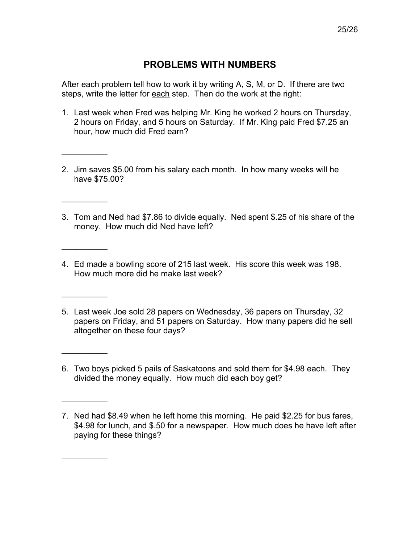## **PROBLEMS WITH NUMBERS**

<span id="page-24-0"></span>After each problem tell how to work it by writing A, S, M, or D. If there are two steps, write the letter for each step. Then do the work at the right:

- 1. Last week when Fred was helping Mr. King he worked 2 hours on Thursday, 2 hours on Friday, and 5 hours on Saturday. If Mr. King paid Fred \$7.25 an hour, how much did Fred earn?
- 2. Jim saves \$5.00 from his salary each month. In how many weeks will he have \$75.00?

 $\frac{1}{2}$ 

 $\frac{1}{2}$ 

 $\frac{1}{2}$ 

 $\frac{1}{2}$ 

 $\frac{1}{2}$ 

 $\frac{1}{2}$ 

- 3. Tom and Ned had \$7.86 to divide equally. Ned spent \$.25 of his share of the money. How much did Ned have left?
- 4. Ed made a bowling score of 215 last week. His score this week was 198. How much more did he make last week?
- 5. Last week Joe sold 28 papers on Wednesday, 36 papers on Thursday, 32 papers on Friday, and 51 papers on Saturday. How many papers did he sell altogether on these four days?
- 6. Two boys picked 5 pails of Saskatoons and sold them for \$4.98 each. They divided the money equally. How much did each boy get?

<sup>7.</sup> Ned had \$8.49 when he left home this morning. He paid \$2.25 for bus fares, \$4.98 for lunch, and \$.50 for a newspaper. How much does he have left after paying for these things?